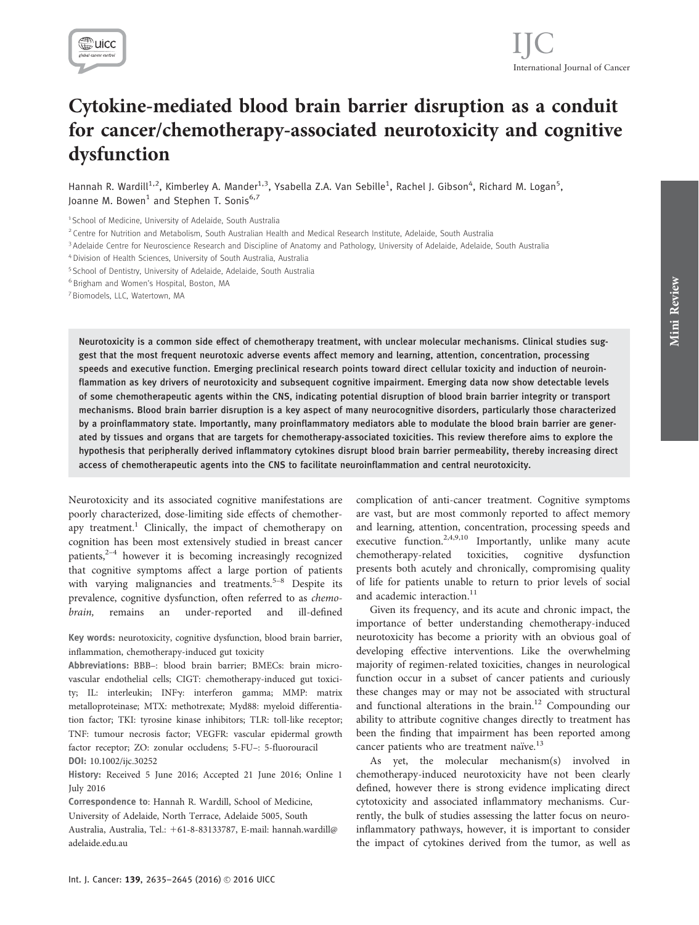

# International Journal of Cancer IJC

# Cytokine-mediated blood brain barrier disruption as a conduit for cancer/chemotherapy-associated neurotoxicity and cognitive dysfunction

Hannah R. Wardill<sup>1,2</sup>, Kimberley A. Mander<sup>1,3</sup>, Ysabella Z.A. Van Sebille<sup>1</sup>, Rachel J. Gibson<sup>4</sup>, Richard M. Logan<sup>5</sup>, Joanne M. Bowen<sup>1</sup> and Stephen T. Sonis<sup>6,7</sup>

<sup>1</sup> School of Medicine, University of Adelaide, South Australia

<sup>2</sup> Centre for Nutrition and Metabolism, South Australian Health and Medical Research Institute, Adelaide, South Australia

<sup>3</sup> Adelaide Centre for Neuroscience Research and Discipline of Anatomy and Pathology, University of Adelaide, Adelaide, South Australia

<sup>4</sup> Division of Health Sciences, University of South Australia, Australia

<sup>5</sup> School of Dentistry, University of Adelaide, Adelaide, South Australia

<sup>6</sup> Brigham and Women's Hospital, Boston, MA

<sup>7</sup> Biomodels, LLC, Watertown, MA

Neurotoxicity is a common side effect of chemotherapy treatment, with unclear molecular mechanisms. Clinical studies suggest that the most frequent neurotoxic adverse events affect memory and learning, attention, concentration, processing speeds and executive function. Emerging preclinical research points toward direct cellular toxicity and induction of neuroinflammation as key drivers of neurotoxicity and subsequent cognitive impairment. Emerging data now show detectable levels of some chemotherapeutic agents within the CNS, indicating potential disruption of blood brain barrier integrity or transport mechanisms. Blood brain barrier disruption is a key aspect of many neurocognitive disorders, particularly those characterized by a proinflammatory state. Importantly, many proinflammatory mediators able to modulate the blood brain barrier are generated by tissues and organs that are targets for chemotherapy-associated toxicities. This review therefore aims to explore the hypothesis that peripherally derived inflammatory cytokines disrupt blood brain barrier permeability, thereby increasing direct access of chemotherapeutic agents into the CNS to facilitate neuroinflammation and central neurotoxicity.

Neurotoxicity and its associated cognitive manifestations are poorly characterized, dose-limiting side effects of chemotherapy treatment.<sup>1</sup> Clinically, the impact of chemotherapy on cognition has been most extensively studied in breast cancer patients, $2-4$  however it is becoming increasingly recognized that cognitive symptoms affect a large portion of patients with varying malignancies and treatments. $5-8$  Despite its prevalence, cognitive dysfunction, often referred to as chemobrain, remains an under-reported and ill-defined

Key words: neurotoxicity, cognitive dysfunction, blood brain barrier, inflammation, chemotherapy-induced gut toxicity

Abbreviations: BBB–: blood brain barrier; BMECs: brain microvascular endothelial cells; CIGT: chemotherapy-induced gut toxicity; IL: interleukin; INFγ: interferon gamma; MMP: matrix metalloproteinase; MTX: methotrexate; Myd88: myeloid differentiation factor; TKI: tyrosine kinase inhibitors; TLR: toll-like receptor; TNF: tumour necrosis factor; VEGFR: vascular epidermal growth factor receptor; ZO: zonular occludens; 5-FU–: 5-fluorouracil DOI: 10.1002/ijc.30252

History: Received 5 June 2016; Accepted 21 June 2016; Online 1 July 2016

Correspondence to: Hannah R. Wardill, School of Medicine, University of Adelaide, North Terrace, Adelaide 5005, South Australia, Australia, Tel.: +61-8-83133787, E-mail: hannah.wardill@ adelaide.edu.au

complication of anti-cancer treatment. Cognitive symptoms are vast, but are most commonly reported to affect memory and learning, attention, concentration, processing speeds and executive function.<sup>2,4,9,10</sup> Importantly, unlike many acute chemotherapy-related toxicities, cognitive dysfunction presents both acutely and chronically, compromising quality of life for patients unable to return to prior levels of social and academic interaction.<sup>11</sup>

Given its frequency, and its acute and chronic impact, the importance of better understanding chemotherapy-induced neurotoxicity has become a priority with an obvious goal of developing effective interventions. Like the overwhelming majority of regimen-related toxicities, changes in neurological function occur in a subset of cancer patients and curiously these changes may or may not be associated with structural and functional alterations in the brain.<sup>12</sup> Compounding our ability to attribute cognitive changes directly to treatment has been the finding that impairment has been reported among cancer patients who are treatment naïve. $13$ 

As yet, the molecular mechanism(s) involved in chemotherapy-induced neurotoxicity have not been clearly defined, however there is strong evidence implicating direct cytotoxicity and associated inflammatory mechanisms. Currently, the bulk of studies assessing the latter focus on neuroinflammatory pathways, however, it is important to consider the impact of cytokines derived from the tumor, as well as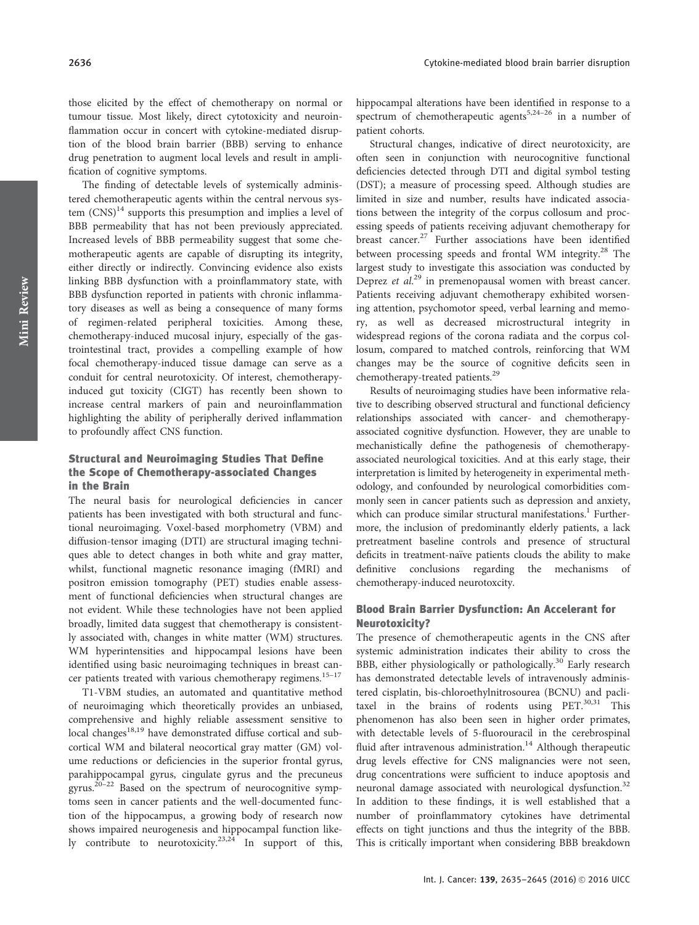those elicited by the effect of chemotherapy on normal or tumour tissue. Most likely, direct cytotoxicity and neuroinflammation occur in concert with cytokine-mediated disruption of the blood brain barrier (BBB) serving to enhance drug penetration to augment local levels and result in amplification of cognitive symptoms.

The finding of detectable levels of systemically administered chemotherapeutic agents within the central nervous system  $(CNS)^{14}$  supports this presumption and implies a level of BBB permeability that has not been previously appreciated. Increased levels of BBB permeability suggest that some chemotherapeutic agents are capable of disrupting its integrity, either directly or indirectly. Convincing evidence also exists linking BBB dysfunction with a proinflammatory state, with BBB dysfunction reported in patients with chronic inflammatory diseases as well as being a consequence of many forms of regimen-related peripheral toxicities. Among these, chemotherapy-induced mucosal injury, especially of the gastrointestinal tract, provides a compelling example of how focal chemotherapy-induced tissue damage can serve as a conduit for central neurotoxicity. Of interest, chemotherapyinduced gut toxicity (CIGT) has recently been shown to increase central markers of pain and neuroinflammation highlighting the ability of peripherally derived inflammation to profoundly affect CNS function.

## Structural and Neuroimaging Studies That Define the Scope of Chemotherapy-associated Changes in the Brain

The neural basis for neurological deficiencies in cancer patients has been investigated with both structural and functional neuroimaging. Voxel-based morphometry (VBM) and diffusion-tensor imaging (DTI) are structural imaging techniques able to detect changes in both white and gray matter, whilst, functional magnetic resonance imaging (fMRI) and positron emission tomography (PET) studies enable assessment of functional deficiencies when structural changes are not evident. While these technologies have not been applied broadly, limited data suggest that chemotherapy is consistently associated with, changes in white matter (WM) structures. WM hyperintensities and hippocampal lesions have been identified using basic neuroimaging techniques in breast cancer patients treated with various chemotherapy regimens.<sup>15-17</sup>

T1-VBM studies, an automated and quantitative method of neuroimaging which theoretically provides an unbiased, comprehensive and highly reliable assessment sensitive to local changes<sup>18,19</sup> have demonstrated diffuse cortical and subcortical WM and bilateral neocortical gray matter (GM) volume reductions or deficiencies in the superior frontal gyrus, parahippocampal gyrus, cingulate gyrus and the precuneus gyrus.20–22 Based on the spectrum of neurocognitive symptoms seen in cancer patients and the well-documented function of the hippocampus, a growing body of research now shows impaired neurogenesis and hippocampal function likely contribute to neurotoxicity.<sup>23,24</sup> In support of this, hippocampal alterations have been identified in response to a spectrum of chemotherapeutic agents<sup>5,24-26</sup> in a number of patient cohorts.

Structural changes, indicative of direct neurotoxicity, are often seen in conjunction with neurocognitive functional deficiencies detected through DTI and digital symbol testing (DST); a measure of processing speed. Although studies are limited in size and number, results have indicated associations between the integrity of the corpus collosum and processing speeds of patients receiving adjuvant chemotherapy for breast cancer.<sup>27</sup> Further associations have been identified between processing speeds and frontal WM integrity.<sup>28</sup> The largest study to investigate this association was conducted by Deprez et al.<sup>29</sup> in premenopausal women with breast cancer. Patients receiving adjuvant chemotherapy exhibited worsening attention, psychomotor speed, verbal learning and memory, as well as decreased microstructural integrity in widespread regions of the corona radiata and the corpus collosum, compared to matched controls, reinforcing that WM changes may be the source of cognitive deficits seen in chemotherapy-treated patients.<sup>29</sup>

Results of neuroimaging studies have been informative relative to describing observed structural and functional deficiency relationships associated with cancer- and chemotherapyassociated cognitive dysfunction. However, they are unable to mechanistically define the pathogenesis of chemotherapyassociated neurological toxicities. And at this early stage, their interpretation is limited by heterogeneity in experimental methodology, and confounded by neurological comorbidities commonly seen in cancer patients such as depression and anxiety, which can produce similar structural manifestations.<sup>1</sup> Furthermore, the inclusion of predominantly elderly patients, a lack pretreatment baseline controls and presence of structural deficits in treatment-naïve patients clouds the ability to make definitive conclusions regarding the mechanisms of chemotherapy-induced neurotoxcity.

## Blood Brain Barrier Dysfunction: An Accelerant for Neurotoxicity?

The presence of chemotherapeutic agents in the CNS after systemic administration indicates their ability to cross the BBB, either physiologically or pathologically.<sup>30</sup> Early research has demonstrated detectable levels of intravenously administered cisplatin, bis-chloroethylnitrosourea (BCNU) and paclitaxel in the brains of rodents using  $PET$ .<sup>30,31</sup> This phenomenon has also been seen in higher order primates, with detectable levels of 5-fluorouracil in the cerebrospinal fluid after intravenous administration.<sup>14</sup> Although therapeutic drug levels effective for CNS malignancies were not seen, drug concentrations were sufficient to induce apoptosis and neuronal damage associated with neurological dysfunction.<sup>32</sup> In addition to these findings, it is well established that a number of proinflammatory cytokines have detrimental effects on tight junctions and thus the integrity of the BBB. This is critically important when considering BBB breakdown

Mini Review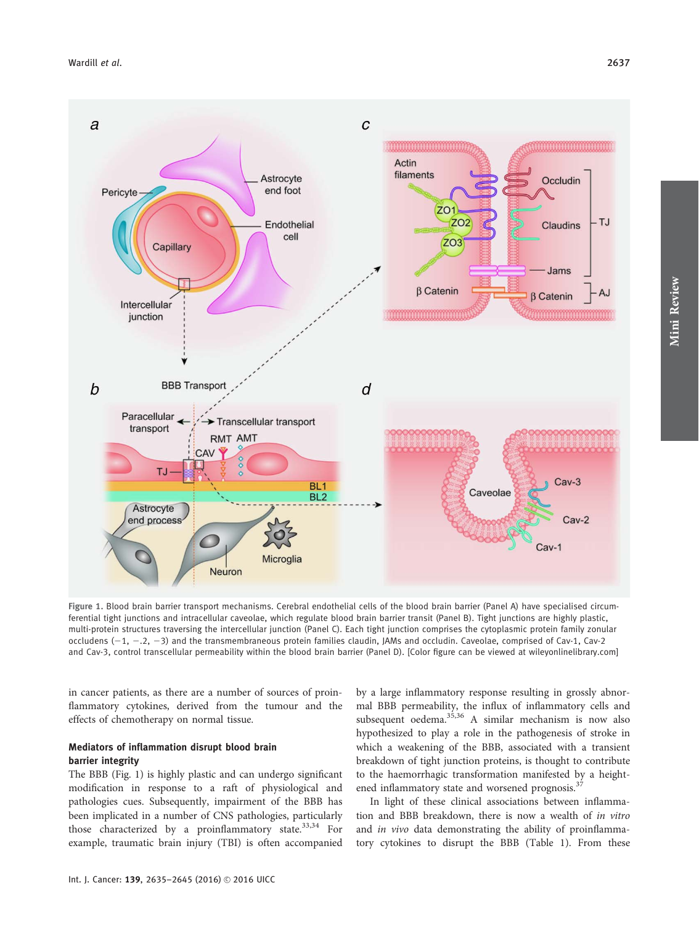

Figure 1. Blood brain barrier transport mechanisms. Cerebral endothelial cells of the blood brain barrier (Panel A) have specialised circumferential tight junctions and intracellular caveolae, which regulate blood brain barrier transit (Panel B). Tight junctions are highly plastic, multi-protein structures traversing the intercellular junction (Panel C). Each tight junction comprises the cytoplasmic protein family zonular occludens  $(-1, -2, -3)$  and the transmembraneous protein families claudin, JAMs and occludin. Caveolae, comprised of Cav-1, Cav-2 and Cav-3, control transcellular permeability within the blood brain barrier (Panel D). [Color figure can be viewed at [wileyonlinelibrary.com\]](http://wileyonlinelibrary.com)

in cancer patients, as there are a number of sources of proinflammatory cytokines, derived from the tumour and the effects of chemotherapy on normal tissue.

### Mediators of inflammation disrupt blood brain barrier integrity

The BBB (Fig. 1) is highly plastic and can undergo significant modification in response to a raft of physiological and pathologies cues. Subsequently, impairment of the BBB has been implicated in a number of CNS pathologies, particularly those characterized by a proinflammatory state.<sup>33,34</sup> For example, traumatic brain injury (TBI) is often accompanied

by a large inflammatory response resulting in grossly abnormal BBB permeability, the influx of inflammatory cells and subsequent oedema. $35,36$  A similar mechanism is now also hypothesized to play a role in the pathogenesis of stroke in which a weakening of the BBB, associated with a transient breakdown of tight junction proteins, is thought to contribute to the haemorrhagic transformation manifested by a heightened inflammatory state and worsened prognosis.<sup>37</sup>

In light of these clinical associations between inflammation and BBB breakdown, there is now a wealth of in vitro and in vivo data demonstrating the ability of proinflammatory cytokines to disrupt the BBB (Table 1). From these Mini Review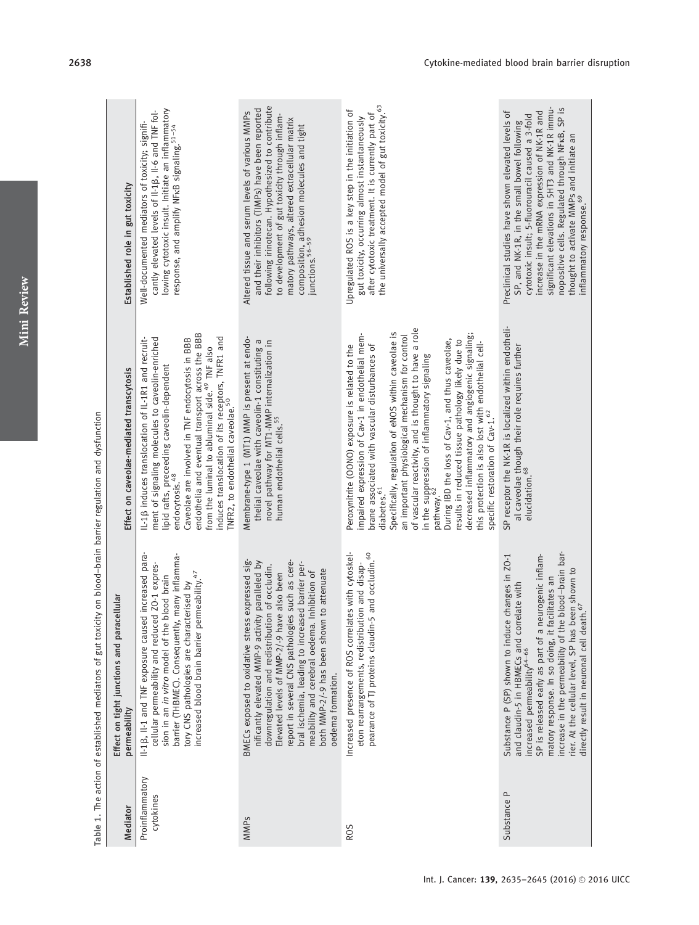Table 1. The action of established mediators of gut toxicity on blood-brain barrier regulation and dysfunction Table 1. The action of established mediators of gut toxicity on blood–brain barrier regulation and dysfunction

| Mediator                     | Effect on tight junctions and paracellular<br>permeability                                                                                                                                                                                                                                                                                                                                                                         | Effect on caveolae-mediated transcytosis                                                                                                                                                                                                                                                                                                                                                                                                                                                                                                                                                                                                                                               | Established role in gut toxicity                                                                                                                                                                                                                                                                                                                                                              |
|------------------------------|------------------------------------------------------------------------------------------------------------------------------------------------------------------------------------------------------------------------------------------------------------------------------------------------------------------------------------------------------------------------------------------------------------------------------------|----------------------------------------------------------------------------------------------------------------------------------------------------------------------------------------------------------------------------------------------------------------------------------------------------------------------------------------------------------------------------------------------------------------------------------------------------------------------------------------------------------------------------------------------------------------------------------------------------------------------------------------------------------------------------------------|-----------------------------------------------------------------------------------------------------------------------------------------------------------------------------------------------------------------------------------------------------------------------------------------------------------------------------------------------------------------------------------------------|
| Proinflammatory<br>cytokines | II-18, II-1 and TNF exposure caused increased para-<br>barrier (THBMEC). Consequently, many inflamma-<br>cellular permeability and reduced ZO-1 expres-<br>increased blood brain barrier permeability. <sup>47</sup><br>sion in an in vitro model of the blood brain<br>tory CNS pathologies are characterised by                                                                                                                  | endothelia and eventual transport across the BBB<br>induces translocation of its receptors, TNFR1 and<br>TNFR2, to endothelial caveolae. <sup>50</sup><br>L-18 induces translocation of IL-1R1 and recruit-<br>ment of signaling molecules to caveolin-enriched<br>Caveolae are involved in TNF endocytosis in BBB<br>from the luminal to abluminal side. <sup>49</sup> TNF also<br>lipid rafts, preceeding caveolin-dependent<br>endocytosis. <sup>48</sup>                                                                                                                                                                                                                           | lowing cytotoxic insult. Initiate an inflammatory<br>cantly elevated levels of II-18, II-6 and TNF fol-<br>Well-documented mediators of toxicity; signifi-<br>response, and amplify NFKB signaling. <sup>51-54</sup>                                                                                                                                                                          |
| <b>MMP<sub>S</sub></b>       | BMECs exposed to oxidative stress expressed sig-<br>report in several CNS pathologies such as cere-<br>nificantly elevated MMP-9 activity paralleled by<br>bral ischemia, leading to increased barrier per-<br>downregulation and redistribution of occludin.<br>attenuate<br>meability and cerebral oedema. Inhibition of<br>Elevated levels of MMP-2/-9 have also been<br>both MMP-2/-9 has been shown to<br>oedema formation.   | Membrane-type 1 (MT1) MMP is present at endo-<br>thelial caveolae with caveolin-1 constituting a<br>novel pathway for MT1-MMP internalization in<br>human endothelial cells. <sup>55</sup>                                                                                                                                                                                                                                                                                                                                                                                                                                                                                             | following irinotecan. Hypothesized to contribute<br>and their inhibitors (TIMPs) have been reported<br>Altered tissue and serum levels of various MMPs<br>to development of gut toxicity through inflam-<br>matory pathways, altered extracellular matrix<br>composition, adhesion molecules and tight<br>junctions. <sup>56–59</sup>                                                         |
| R <sub>OS</sub>              | Increased presence of ROS correlates with cytoskel-<br>nd occludin. <sup>60</sup><br>and disap-<br>eton rearrangements, redistribution<br>pearance of TJ proteins claudin-5 ar                                                                                                                                                                                                                                                     | of vascular reactivity, and is thought to have a role<br>Specifically, regulation of eNOS within caveolae is<br>impaired expression of Cav-1 in endothelial mem-<br>decreased inflammatory and angiogenic signaling;<br>an important physiological mechanism for control<br>During IBD the loss of Cav-1, and thus caveolae,<br>results in reduced tissue pathology likely due to<br>this protection is also lost with endothelial cell-<br>brane associated with vascular disturbances of<br>Peroxynitrite (OONO) exposure is related to the<br>in the suppression of inflammatory signaling<br>specific restoration of Cav-1.62<br>diabetes. <sup>61</sup><br>pathway. <sup>62</sup> | the universally accepted model of gut toxicity.63<br>Upregulated ROS is a key step in the initiation of<br>after cytotoxic treatment. It is currently part of<br>gut toxicity, occurring almost instantaneously                                                                                                                                                                               |
| Substance P                  | increase in the permeability of the blood-brain bar-<br>Substance P (SP) shown to induce changes in ZO-1<br>SP is released early as part of a neurogenic inflam-<br>directly result in neuronal cell death. <sup>67</sup><br>directly result in neuronal cell death. <sup>67</sup><br>matory response. In so doing, it facilitates an<br>e with<br>and claudin-5 in HBMECs and correlat<br>increased permeability <sup>64-66</sup> | SP receptor the NK-1R is localized within endotheli-<br>al caveolae though their role requires further<br>elucidation. <sup>68</sup>                                                                                                                                                                                                                                                                                                                                                                                                                                                                                                                                                   | significant elevations in 5HT3 and NK-1R immu-<br>nopositive cells. Regulated through NFKB, SP is<br>Preclinical studies have shown elevated levels of<br>increase in the mRNA expression of NK-1R and<br>cytotoxic insult; 5-fluorouracil caused a 3-fold<br>SP, and NK-1R, in the small bowel following<br>thought to activate MMPs and initiate an<br>inflammatory response. <sup>69</sup> |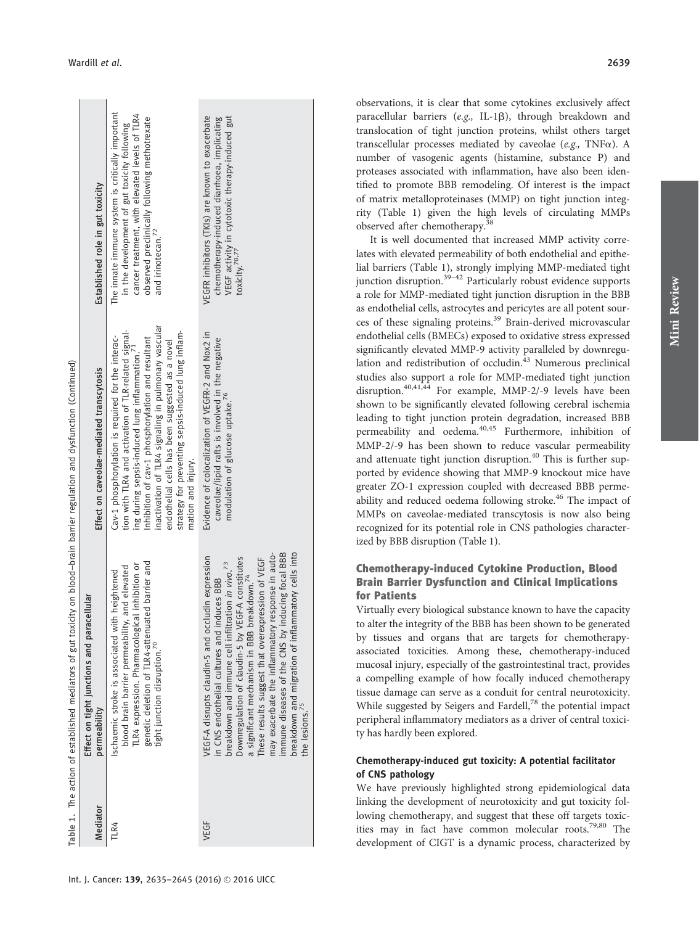|             | Table 1. The action of established mediators of gut toxicity on blood-brain barrier regulation and dysfunction (Continued)                                                                                                                                                                                                                                                                                                                                                                                             |                                                                                                                                                                                                                                                                                                                                                                                                                       |                                                                                                                                                                                                                                      |
|-------------|------------------------------------------------------------------------------------------------------------------------------------------------------------------------------------------------------------------------------------------------------------------------------------------------------------------------------------------------------------------------------------------------------------------------------------------------------------------------------------------------------------------------|-----------------------------------------------------------------------------------------------------------------------------------------------------------------------------------------------------------------------------------------------------------------------------------------------------------------------------------------------------------------------------------------------------------------------|--------------------------------------------------------------------------------------------------------------------------------------------------------------------------------------------------------------------------------------|
| Mediator    | Effect on tight junctions and paracellular<br>permeability                                                                                                                                                                                                                                                                                                                                                                                                                                                             | Effect on caveolae-mediated transcytosis                                                                                                                                                                                                                                                                                                                                                                              | Established role in gut toxicity                                                                                                                                                                                                     |
| TLR4        | barrier and<br>LR4 expression. Pharmacological inhibition or<br>blood brain barrier permeability, and elevated<br>schaemic stroke is associated with heightened<br>genetic deletion of TLR4-attenuated<br>tight junction disruption. <sup>70</sup>                                                                                                                                                                                                                                                                     | inactivation of TLR4 signaling in pulmonary vascular<br>tion with TLR4 and activation of TLR-related signal-<br>strategy for preventing sepsis-induced lung inflam-<br>Cav-1 phosphorylation is required for the interac-<br>Inhibition of cav-1 phosphorylation and resultant<br>endothelial cells has been suggested as a novel<br>ing during sepsis-induced lung inflammation. <sup>71</sup><br>mation and injury. | The innate immune system is critically important<br>cancer treatment, with elevated levels of TLR4<br>observed preclinically following methotrexate<br>in the development of gut toxicity following<br>and irinotecan. <sup>12</sup> |
| <b>VEGF</b> | immune diseases of the CNS by inducing focal BBB<br>breakdown and migration of inflammatory cells into<br>may exacerbate the inflammatory response in auto-<br>VEGF-A disrupts claudin-5 and occludin expression<br>These results suggest that overexpression of VEGF<br>Downregulation of claudin-5 by VEGF-A constitutes<br>breakdown and immune cell infiltration in vivo.73<br>a significant mechanism in BBB breakdown. <sup>74</sup><br>in CNS endothelial cultures and induces BBB<br>the lesions. <sup>7</sup> | Evidence of colocalization of VEGFR-2 and Nox2 in<br>caveolae/lipid rafts is involved in the negative<br>modulation of glucose uptake. <sup>76</sup>                                                                                                                                                                                                                                                                  | VEGFR inhibitors (TKIs) are known to exacerbate<br>VEGF activity in cytotoxic therapy-induced gut<br>chemotherapy-induced diarrhoea, implicating<br>toxicity. <sup>70,77</sup>                                                       |

observations, it is clear that some cytokines exclusively affect paracellular barriers (e.g., IL-1 $\beta$ ), through breakdown and translocation of tight junction proteins, whilst others target transcellular processes mediated by caveolae (e.g.,  $TNF\alpha$ ). A number of vasogenic agents (histamine, substance P) and proteases associated with inflammation, have also been identified to promote BBB remodeling. Of interest is the impact of matrix metalloproteinases (MMP) on tight junction integrity (Table 1) given the high levels of circulating MMPs observed after chemotherapy.38

It is well documented that increased MMP activity correlates with elevated permeability of both endothelial and epithelial barriers (Table 1), strongly implying MMP-mediated tight junction disruption. $39-42$  Particularly robust evidence supports a role for MMP-mediated tight junction disruption in the BBB as endothelial cells, astrocytes and pericytes are all potent sources of these signaling proteins.<sup>39</sup> Brain-derived microvascular endothelial cells (BMECs) exposed to oxidative stress expressed significantly elevated MMP-9 activity paralleled by downregulation and redistribution of occludin.<sup>43</sup> Numerous preclinical studies also support a role for MMP-mediated tight junction disruption.<sup>40,41,44</sup> For example, MMP-2/-9 levels have been shown to be significantly elevated following cerebral ischemia leading to tight junction protein degradation, increased BBB permeability and oedema.40,45 Furthermore, inhibition of MMP-2/-9 has been shown to reduce vascular permeability and attenuate tight junction disruption.<sup>40</sup> This is further supported by evidence showing that MMP-9 knockout mice have greater ZO-1 expression coupled with decreased BBB permeability and reduced oedema following stroke.<sup>46</sup> The impact of MMPs on caveolae-mediated transcytosis is now also being recognized for its potential role in CNS pathologies characterized by BBB disruption (Table 1).

# Chemotherapy-induced Cytokine Production, Blood Brain Barrier Dysfunction and Clinical Implications for Patients

Virtually every biological substance known to have the capacity to alter the integrity of the BBB has been shown to be generated by tissues and organs that are targets for chemotherapyassociated toxicities. Among these, chemotherapy-induced mucosal injury, especially of the gastrointestinal tract, provides a compelling example of how focally induced chemotherapy tissue damage can serve as a conduit for central neurotoxicity. While suggested by Seigers and Fardell, $^{78}$  the potential impact peripheral inflammatory mediators as a driver of central toxicity has hardly been explored.

## Chemotherapy-induced gut toxicity: A potential facilitator of CNS pathology

We have previously highlighted strong epidemiological data linking the development of neurotoxicity and gut toxicity following chemotherapy, and suggest that these off targets toxicities may in fact have common molecular roots.<sup>79,80</sup> The development of CIGT is a dynamic process, characterized by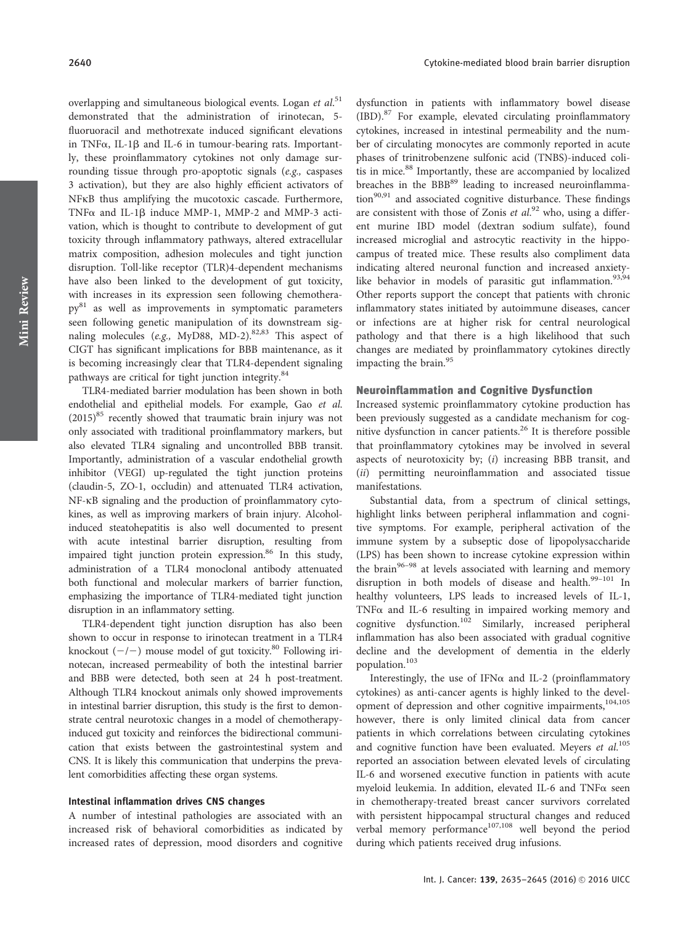overlapping and simultaneous biological events. Logan et al.<sup>51</sup> demonstrated that the administration of irinotecan, 5 fluoruoracil and methotrexate induced significant elevations in TNF $\alpha$ , IL-1 $\beta$  and IL-6 in tumour-bearing rats. Importantly, these proinflammatory cytokines not only damage surrounding tissue through pro-apoptotic signals (e.g., caspases 3 activation), but they are also highly efficient activators of NFKB thus amplifying the mucotoxic cascade. Furthermore, TNF $\alpha$  and IL-1 $\beta$  induce MMP-1, MMP-2 and MMP-3 activation, which is thought to contribute to development of gut toxicity through inflammatory pathways, altered extracellular matrix composition, adhesion molecules and tight junction disruption. Toll-like receptor (TLR)4-dependent mechanisms have also been linked to the development of gut toxicity, with increases in its expression seen following chemothera $pv^{81}$  as well as improvements in symptomatic parameters seen following genetic manipulation of its downstream signaling molecules (e.g., MyD88, MD-2).<sup>82,83</sup> This aspect of CIGT has significant implications for BBB maintenance, as it is becoming increasingly clear that TLR4-dependent signaling pathways are critical for tight junction integrity.<sup>84</sup>

TLR4-mediated barrier modulation has been shown in both endothelial and epithelial models. For example, Gao et al.  $(2015)^{85}$  recently showed that traumatic brain injury was not only associated with traditional proinflammatory markers, but also elevated TLR4 signaling and uncontrolled BBB transit. Importantly, administration of a vascular endothelial growth inhibitor (VEGI) up-regulated the tight junction proteins (claudin-5, ZO-1, occludin) and attenuated TLR4 activation, NF-KB signaling and the production of proinflammatory cytokines, as well as improving markers of brain injury. Alcoholinduced steatohepatitis is also well documented to present with acute intestinal barrier disruption, resulting from impaired tight junction protein expression.<sup>86</sup> In this study, administration of a TLR4 monoclonal antibody attenuated both functional and molecular markers of barrier function, emphasizing the importance of TLR4-mediated tight junction disruption in an inflammatory setting.

TLR4-dependent tight junction disruption has also been shown to occur in response to irinotecan treatment in a TLR4 knockout  $(-/-)$  mouse model of gut toxicity.<sup>80</sup> Following irinotecan, increased permeability of both the intestinal barrier and BBB were detected, both seen at 24 h post-treatment. Although TLR4 knockout animals only showed improvements in intestinal barrier disruption, this study is the first to demonstrate central neurotoxic changes in a model of chemotherapyinduced gut toxicity and reinforces the bidirectional communication that exists between the gastrointestinal system and CNS. It is likely this communication that underpins the prevalent comorbidities affecting these organ systems.

#### Intestinal inflammation drives CNS changes

A number of intestinal pathologies are associated with an increased risk of behavioral comorbidities as indicated by increased rates of depression, mood disorders and cognitive dysfunction in patients with inflammatory bowel disease (IBD).<sup>87</sup> For example, elevated circulating proinflammatory cytokines, increased in intestinal permeability and the number of circulating monocytes are commonly reported in acute phases of trinitrobenzene sulfonic acid (TNBS)-induced colitis in mice.<sup>88</sup> Importantly, these are accompanied by localized breaches in the BBB<sup>89</sup> leading to increased neuroinflamma- $\frac{90,91}{2}$  and associated cognitive disturbance. These findings are consistent with those of Zonis et  $al.^{92}$  who, using a different murine IBD model (dextran sodium sulfate), found increased microglial and astrocytic reactivity in the hippocampus of treated mice. These results also compliment data indicating altered neuronal function and increased anxietylike behavior in models of parasitic gut inflammation.<sup>93,94</sup> Other reports support the concept that patients with chronic inflammatory states initiated by autoimmune diseases, cancer or infections are at higher risk for central neurological pathology and that there is a high likelihood that such changes are mediated by proinflammatory cytokines directly impacting the brain.<sup>95</sup>

#### Neuroinflammation and Cognitive Dysfunction

Increased systemic proinflammatory cytokine production has been previously suggested as a candidate mechanism for cognitive dysfunction in cancer patients.<sup>26</sup> It is therefore possible that proinflammatory cytokines may be involved in several aspects of neurotoxicity by; (i) increasing BBB transit, and (ii) permitting neuroinflammation and associated tissue manifestations.

Substantial data, from a spectrum of clinical settings, highlight links between peripheral inflammation and cognitive symptoms. For example, peripheral activation of the immune system by a subseptic dose of lipopolysaccharide (LPS) has been shown to increase cytokine expression within the brain $96-98$  at levels associated with learning and memory disruption in both models of disease and health.<sup>99-101</sup> In healthy volunteers, LPS leads to increased levels of IL-1, TNFa and IL-6 resulting in impaired working memory and cognitive dysfunction.<sup>102</sup> Similarly, increased peripheral inflammation has also been associated with gradual cognitive decline and the development of dementia in the elderly population.<sup>103</sup>

Interestingly, the use of IFN $\alpha$  and IL-2 (proinflammatory cytokines) as anti-cancer agents is highly linked to the development of depression and other cognitive impairments,<sup>104,105</sup> however, there is only limited clinical data from cancer patients in which correlations between circulating cytokines and cognitive function have been evaluated. Meyers et al.<sup>105</sup> reported an association between elevated levels of circulating IL-6 and worsened executive function in patients with acute myeloid leukemia. In addition, elevated IL-6 and  $TNF\alpha$  seen in chemotherapy-treated breast cancer survivors correlated with persistent hippocampal structural changes and reduced verbal memory performance $107,108$  well beyond the period during which patients received drug infusions.

Mini Review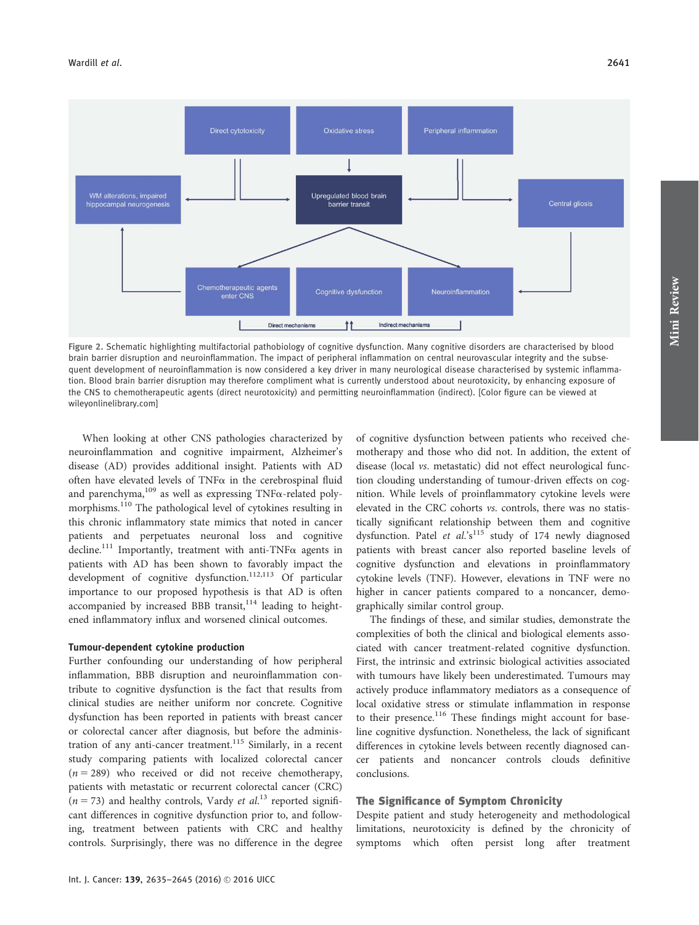

Figure 2. Schematic highlighting multifactorial pathobiology of cognitive dysfunction. Many cognitive disorders are characterised by blood brain barrier disruption and neuroinflammation. The impact of peripheral inflammation on central neurovascular integrity and the subsequent development of neuroinflammation is now considered a key driver in many neurological disease characterised by systemic inflammation. Blood brain barrier disruption may therefore compliment what is currently understood about neurotoxicity, by enhancing exposure of the CNS to chemotherapeutic agents (direct neurotoxicity) and permitting neuroinflammation (indirect). [Color figure can be viewed at [wileyonlinelibrary.com](http://wileyonlinelibrary.com)]

When looking at other CNS pathologies characterized by neuroinflammation and cognitive impairment, Alzheimer's disease (AD) provides additional insight. Patients with AD often have elevated levels of TNF $\alpha$  in the cerebrospinal fluid and parenchyma, $^{109}$  as well as expressing TNF $\alpha$ -related polymorphisms.<sup>110</sup> The pathological level of cytokines resulting in this chronic inflammatory state mimics that noted in cancer patients and perpetuates neuronal loss and cognitive decline.<sup>111</sup> Importantly, treatment with anti-TNF $\alpha$  agents in patients with AD has been shown to favorably impact the development of cognitive dysfunction.<sup>112,113</sup> Of particular importance to our proposed hypothesis is that AD is often accompanied by increased BBB transit, $114$  leading to heightened inflammatory influx and worsened clinical outcomes.

#### Tumour-dependent cytokine production

Further confounding our understanding of how peripheral inflammation, BBB disruption and neuroinflammation contribute to cognitive dysfunction is the fact that results from clinical studies are neither uniform nor concrete. Cognitive dysfunction has been reported in patients with breast cancer or colorectal cancer after diagnosis, but before the administration of any anti-cancer treatment.<sup>115</sup> Similarly, in a recent study comparing patients with localized colorectal cancer  $(n = 289)$  who received or did not receive chemotherapy, patients with metastatic or recurrent colorectal cancer (CRC)  $(n = 73)$  and healthy controls, Vardy et al.<sup>13</sup> reported significant differences in cognitive dysfunction prior to, and following, treatment between patients with CRC and healthy controls. Surprisingly, there was no difference in the degree

of cognitive dysfunction between patients who received chemotherapy and those who did not. In addition, the extent of disease (local vs. metastatic) did not effect neurological function clouding understanding of tumour-driven effects on cognition. While levels of proinflammatory cytokine levels were elevated in the CRC cohorts vs. controls, there was no statistically significant relationship between them and cognitive dysfunction. Patel et  $al.'s^{115}$  study of 174 newly diagnosed patients with breast cancer also reported baseline levels of cognitive dysfunction and elevations in proinflammatory cytokine levels (TNF). However, elevations in TNF were no higher in cancer patients compared to a noncancer, demographically similar control group.

The findings of these, and similar studies, demonstrate the complexities of both the clinical and biological elements associated with cancer treatment-related cognitive dysfunction. First, the intrinsic and extrinsic biological activities associated with tumours have likely been underestimated. Tumours may actively produce inflammatory mediators as a consequence of local oxidative stress or stimulate inflammation in response to their presence. $116$  These findings might account for baseline cognitive dysfunction. Nonetheless, the lack of significant differences in cytokine levels between recently diagnosed cancer patients and noncancer controls clouds definitive conclusions.

## The Significance of Symptom Chronicity

Despite patient and study heterogeneity and methodological limitations, neurotoxicity is defined by the chronicity of symptoms which often persist long after treatment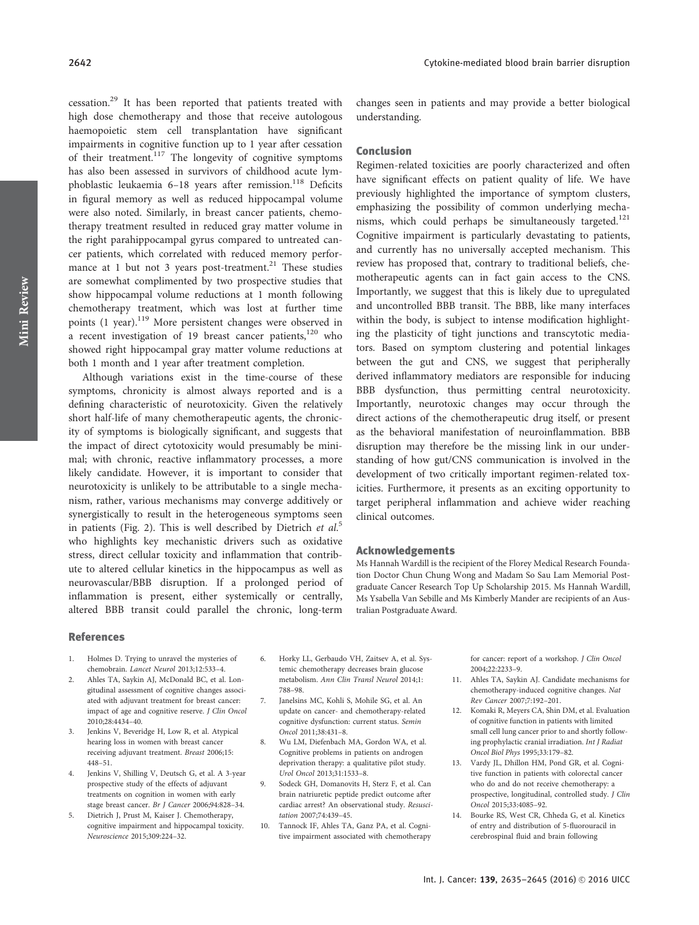cessation.<sup>29</sup> It has been reported that patients treated with high dose chemotherapy and those that receive autologous haemopoietic stem cell transplantation have significant impairments in cognitive function up to 1 year after cessation of their treatment.<sup>117</sup> The longevity of cognitive symptoms has also been assessed in survivors of childhood acute lymphoblastic leukaemia 6-18 years after remission.<sup>118</sup> Deficits in figural memory as well as reduced hippocampal volume were also noted. Similarly, in breast cancer patients, chemotherapy treatment resulted in reduced gray matter volume in the right parahippocampal gyrus compared to untreated cancer patients, which correlated with reduced memory performance at 1 but not 3 years post-treatment.<sup>21</sup> These studies are somewhat complimented by two prospective studies that show hippocampal volume reductions at 1 month following chemotherapy treatment, which was lost at further time points (1 year).<sup>119</sup> More persistent changes were observed in a recent investigation of 19 breast cancer patients, $120$  who showed right hippocampal gray matter volume reductions at both 1 month and 1 year after treatment completion.

Although variations exist in the time-course of these symptoms, chronicity is almost always reported and is a defining characteristic of neurotoxicity. Given the relatively short half-life of many chemotherapeutic agents, the chronicity of symptoms is biologically significant, and suggests that the impact of direct cytotoxicity would presumably be minimal; with chronic, reactive inflammatory processes, a more likely candidate. However, it is important to consider that neurotoxicity is unlikely to be attributable to a single mechanism, rather, various mechanisms may converge additively or synergistically to result in the heterogeneous symptoms seen in patients (Fig. 2). This is well described by Dietrich et al.<sup>5</sup> who highlights key mechanistic drivers such as oxidative stress, direct cellular toxicity and inflammation that contribute to altered cellular kinetics in the hippocampus as well as neurovascular/BBB disruption. If a prolonged period of inflammation is present, either systemically or centrally, altered BBB transit could parallel the chronic, long-term

changes seen in patients and may provide a better biological understanding.

#### Conclusion

Regimen-related toxicities are poorly characterized and often have significant effects on patient quality of life. We have previously highlighted the importance of symptom clusters, emphasizing the possibility of common underlying mechanisms, which could perhaps be simultaneously targeted.<sup>121</sup> Cognitive impairment is particularly devastating to patients, and currently has no universally accepted mechanism. This review has proposed that, contrary to traditional beliefs, chemotherapeutic agents can in fact gain access to the CNS. Importantly, we suggest that this is likely due to upregulated and uncontrolled BBB transit. The BBB, like many interfaces within the body, is subject to intense modification highlighting the plasticity of tight junctions and transcytotic mediators. Based on symptom clustering and potential linkages between the gut and CNS, we suggest that peripherally derived inflammatory mediators are responsible for inducing BBB dysfunction, thus permitting central neurotoxicity. Importantly, neurotoxic changes may occur through the direct actions of the chemotherapeutic drug itself, or present as the behavioral manifestation of neuroinflammation. BBB disruption may therefore be the missing link in our understanding of how gut/CNS communication is involved in the development of two critically important regimen-related toxicities. Furthermore, it presents as an exciting opportunity to target peripheral inflammation and achieve wider reaching clinical outcomes.

#### Acknowledgements

Ms Hannah Wardill is the recipient of the Florey Medical Research Foundation Doctor Chun Chung Wong and Madam So Sau Lam Memorial Postgraduate Cancer Research Top Up Scholarship 2015. Ms Hannah Wardill, Ms Ysabella Van Sebille and Ms Kimberly Mander are recipients of an Australian Postgraduate Award.

#### References

- 1. Holmes D. Trying to unravel the mysteries of chemobrain. Lancet Neurol 2013;12:533–4.
- 2. Ahles TA, Saykin AJ, McDonald BC, et al. Longitudinal assessment of cognitive changes associated with adjuvant treatment for breast cancer: impact of age and cognitive reserve. J Clin Oncol 2010;28:4434–40.
- 3. Jenkins V, Beveridge H, Low R, et al. Atypical hearing loss in women with breast cancer receiving adjuvant treatment. Breast 2006;15: 448–51.
- 4. Jenkins V, Shilling V, Deutsch G, et al. A 3-year prospective study of the effects of adjuvant treatments on cognition in women with early stage breast cancer. Br J Cancer 2006;94:828–34.
- 5. Dietrich J, Prust M, Kaiser J. Chemotherapy, cognitive impairment and hippocampal toxicity. Neuroscience 2015;309:224–32.
- 6. Horky LL, Gerbaudo VH, Zaitsev A, et al. Systemic chemotherapy decreases brain glucose metabolism. Ann Clin Transl Neurol 2014;1: 788–98.
- 7. Janelsins MC, Kohli S, Mohile SG, et al. An update on cancer- and chemotherapy-related cognitive dysfunction: current status. Semin Oncol 2011;38:431–8.
- 8. Wu LM, Diefenbach MA, Gordon WA, et al. Cognitive problems in patients on androgen deprivation therapy: a qualitative pilot study. Urol Oncol 2013;31:1533–8.
- 9. Sodeck GH, Domanovits H, Sterz F, et al. Can brain natriuretic peptide predict outcome after cardiac arrest? An observational study. Resuscitation 2007;74:439–45.
- 10. Tannock IF, Ahles TA, Ganz PA, et al. Cognitive impairment associated with chemotherapy

for cancer: report of a workshop. J Clin Oncol 2004;22:2233–9.

- 11. Ahles TA, Saykin AJ. Candidate mechanisms for chemotherapy-induced cognitive changes. Nat Rev Cancer 2007;7:192–201.
- 12. Komaki R, Meyers CA, Shin DM, et al. Evaluation of cognitive function in patients with limited small cell lung cancer prior to and shortly following prophylactic cranial irradiation. Int J Radiat Oncol Biol Phys 1995;33:179–82.
- 13. Vardy JL, Dhillon HM, Pond GR, et al. Cognitive function in patients with colorectal cancer who do and do not receive chemotherapy: a prospective, longitudinal, controlled study. J Clin Oncol 2015;33:4085–92.
- 14. Bourke RS, West CR, Chheda G, et al. Kinetics of entry and distribution of 5-fluorouracil in cerebrospinal fluid and brain following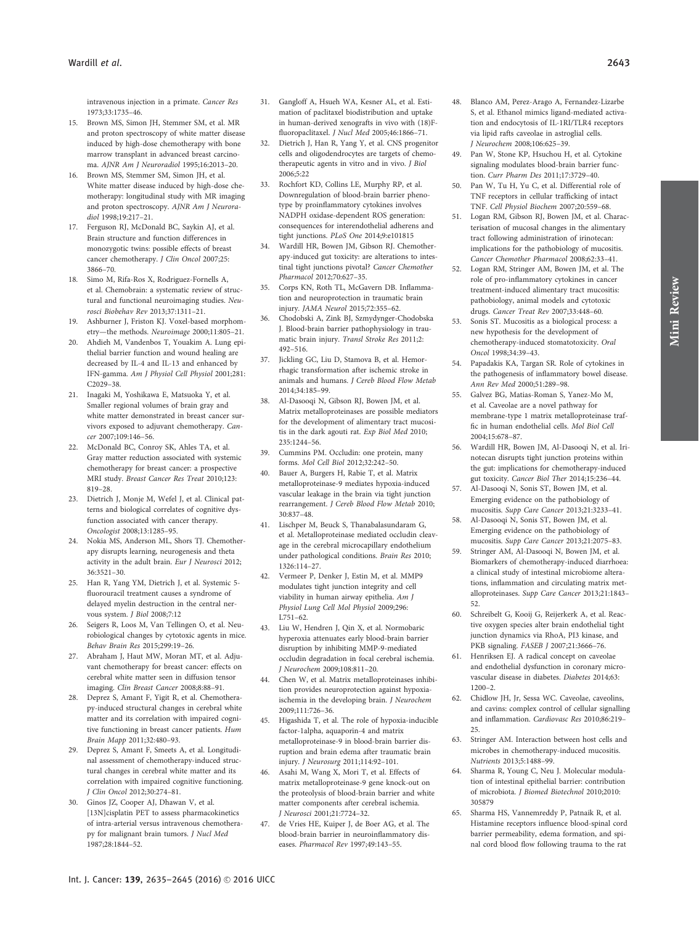intravenous injection in a primate. Cancer Res 1973;33:1735–46.

- 15. Brown MS, Simon JH, Stemmer SM, et al. MR and proton spectroscopy of white matter disease induced by high-dose chemotherapy with bone marrow transplant in advanced breast carcinoma. AJNR Am J Neuroradiol 1995;16:2013–20.
- 16. Brown MS, Stemmer SM, Simon JH, et al. White matter disease induced by high-dose chemotherapy: longitudinal study with MR imaging and proton spectroscopy. AJNR Am J Neuroradiol 1998;19:217–21.
- 17. Ferguson RJ, McDonald BC, Saykin AJ, et al. Brain structure and function differences in monozygotic twins: possible effects of breast cancer chemotherapy. J Clin Oncol 2007;25: 3866–70.
- 18. Simo M, Rifa-Ros X, Rodriguez-Fornells A, et al. Chemobrain: a systematic review of structural and functional neuroimaging studies. Neurosci Biobehav Rev 2013;37:1311–21.
- 19. Ashburner J, Friston KJ. Voxel-based morphometry—the methods. Neuroimage 2000;11:805–21.
- 20. Ahdieh M, Vandenbos T, Youakim A. Lung epithelial barrier function and wound healing are decreased by IL-4 and IL-13 and enhanced by IFN-gamma. Am J Physiol Cell Physiol 2001;281: C2029–38.
- 21. Inagaki M, Yoshikawa E, Matsuoka Y, et al. Smaller regional volumes of brain gray and white matter demonstrated in breast cancer survivors exposed to adjuvant chemotherapy. Cancer 2007;109:146–56.
- 22. McDonald BC, Conroy SK, Ahles TA, et al. Gray matter reduction associated with systemic chemotherapy for breast cancer: a prospective MRI study. Breast Cancer Res Treat 2010;123: 819–28.
- 23. Dietrich J, Monje M, Wefel J, et al. Clinical patterns and biological correlates of cognitive dysfunction associated with cancer therapy. Oncologist 2008;13:1285–95.
- 24. Nokia MS, Anderson ML, Shors TJ. Chemotherapy disrupts learning, neurogenesis and theta activity in the adult brain. Eur J Neurosci 2012; 36:3521–30.
- 25. Han R, Yang YM, Dietrich J, et al. Systemic 5 fluorouracil treatment causes a syndrome of delayed myelin destruction in the central nervous system. J Biol 2008;7:12
- 26. Seigers R, Loos M, Van Tellingen O, et al. Neurobiological changes by cytotoxic agents in mice. Behav Brain Res 2015;299:19–26.
- 27. Abraham J, Haut MW, Moran MT, et al. Adjuvant chemotherapy for breast cancer: effects on cerebral white matter seen in diffusion tensor imaging. Clin Breast Cancer 2008;8:88–91.
- 28. Deprez S, Amant F, Yigit R, et al. Chemotherapy-induced structural changes in cerebral white matter and its correlation with impaired cognitive functioning in breast cancer patients. Hum Brain Mapp 2011;32:480–93.
- 29. Deprez S, Amant F, Smeets A, et al. Longitudinal assessment of chemotherapy-induced structural changes in cerebral white matter and its correlation with impaired cognitive functioning. J Clin Oncol 2012;30:274–81.
- 30. Ginos JZ, Cooper AJ, Dhawan V, et al. [13N]cisplatin PET to assess pharmacokinetics of intra-arterial versus intravenous chemotherapy for malignant brain tumors. J Nucl Med 1987;28:1844–52.
- 31. Gangloff A, Hsueh WA, Kesner AL, et al. Estimation of paclitaxel biodistribution and uptake in human-derived xenografts in vivo with (18)Ffluoropaclitaxel. J Nucl Med 2005;46:1866-71.
- 32. Dietrich J, Han R, Yang Y, et al. CNS progenitor cells and oligodendrocytes are targets of chemotherapeutic agents in vitro and in vivo. J Biol 2006;5:22
- 33. Rochfort KD, Collins LE, Murphy RP, et al. Downregulation of blood-brain barrier phenotype by proinflammatory cytokines involves NADPH oxidase-dependent ROS generation: consequences for interendothelial adherens and tight junctions. PLoS One 2014;9:e101815
- 34. Wardill HR, Bowen JM, Gibson RJ. Chemotherapy-induced gut toxicity: are alterations to intestinal tight junctions pivotal? Cancer Chemother Pharmacol 2012;70:627–35.
- 35. Corps KN, Roth TL, McGavern DB. Inflammation and neuroprotection in traumatic brain injury. JAMA Neurol 2015;72:355–62.
- 36. Chodobski A, Zink BJ, Szmydynger-Chodobska J. Blood-brain barrier pathophysiology in traumatic brain injury. Transl Stroke Res 2011;2: 492–516.
- 37. Jickling GC, Liu D, Stamova B, et al. Hemorrhagic transformation after ischemic stroke in animals and humans. J Cereb Blood Flow Metab 2014;34:185–99.
- 38. Al-Dasooqi N, Gibson RJ, Bowen JM, et al. Matrix metalloproteinases are possible mediators for the development of alimentary tract mucositis in the dark agouti rat. Exp Biol Med 2010; 235:1244–56.
- 39. Cummins PM. Occludin: one protein, many forms. Mol Cell Biol 2012;32:242–50.
- 40. Bauer A, Burgers H, Rabie T, et al. Matrix metalloproteinase-9 mediates hypoxia-induced vascular leakage in the brain via tight junction rearrangement. J Cereb Blood Flow Metab 2010; 30:837–48.
- 41. Lischper M, Beuck S, Thanabalasundaram G, et al. Metalloproteinase mediated occludin cleavage in the cerebral microcapillary endothelium under pathological conditions. Brain Res 2010; 1326:114–27.
- 42. Vermeer P, Denker J, Estin M, et al. MMP9 modulates tight junction integrity and cell viability in human airway epithelia. Am J Physiol Lung Cell Mol Physiol 2009;296: L751–62.
- 43. Liu W, Hendren J, Qin X, et al. Normobaric hyperoxia attenuates early blood-brain barrier disruption by inhibiting MMP-9-mediated occludin degradation in focal cerebral ischemia. J Neurochem 2009;108:811–20.
- 44. Chen W, et al. Matrix metalloproteinases inhibition provides neuroprotection against hypoxiaischemia in the developing brain. J Neurochem 2009;111:726–36.
- 45. Higashida T, et al. The role of hypoxia-inducible factor-1alpha, aquaporin-4 and matrix metalloproteinase-9 in blood-brain barrier disruption and brain edema after traumatic brain injury. J Neurosurg 2011;114:92–101.
- 46. Asahi M, Wang X, Mori T, et al. Effects of matrix metalloproteinase-9 gene knock-out on the proteolysis of blood-brain barrier and white matter components after cerebral ischemia. J Neurosci 2001;21:7724–32.
- 47. de Vries HE, Kuiper J, de Boer AG, et al. The blood-brain barrier in neuroinflammatory diseases. Pharmacol Rev 1997;49:143–55.
- 48. Blanco AM, Perez-Arago A, Fernandez-Lizarbe S, et al. Ethanol mimics ligand-mediated activation and endocytosis of IL-1RI/TLR4 receptors via lipid rafts caveolae in astroglial cells. J Neurochem 2008;106:625–39.
- 49. Pan W, Stone KP, Hsuchou H, et al. Cytokine signaling modulates blood-brain barrier function. Curr Pharm Des 2011;17:3729–40.
- 50. Pan W, Tu H, Yu C, et al. Differential role of TNF receptors in cellular trafficking of intact TNF. Cell Physiol Biochem 2007;20:559–68.
- 51. Logan RM, Gibson RJ, Bowen JM, et al. Characterisation of mucosal changes in the alimentary tract following administration of irinotecan: implications for the pathobiology of mucositis. Cancer Chemother Pharmacol 2008;62:33–41.
- 52. Logan RM, Stringer AM, Bowen JM, et al. The role of pro-inflammatory cytokines in cancer treatment-induced alimentary tract mucositis: pathobiology, animal models and cytotoxic drugs. Cancer Treat Rev 2007;33:448–60.
- 53. Sonis ST. Mucositis as a biological process: a new hypothesis for the development of chemotherapy-induced stomatotoxicity. Oral Oncol 1998;34:39–43.
- 54. Papadakis KA, Targan SR. Role of cytokines in the pathogenesis of inflammatory bowel disease. Ann Rev Med 2000;51:289–98.
- 55. Galvez BG, Matias-Roman S, Yanez-Mo M, et al. Caveolae are a novel pathway for membrane-type 1 matrix metalloproteinase traffic in human endothelial cells. Mol Biol Cell 2004;15:678–87.
- 56. Wardill HR, Bowen JM, Al-Dasooqi N, et al. Irinotecan disrupts tight junction proteins within the gut: implications for chemotherapy-induced gut toxicity. Cancer Biol Ther 2014;15:236–44.
- 57. Al-Dasooqi N, Sonis ST, Bowen JM, et al. Emerging evidence on the pathobiology of mucositis. Supp Care Cancer 2013;21:3233–41.
- 58. Al-Dasooqi N, Sonis ST, Bowen JM, et al. Emerging evidence on the pathobiology of mucositis. Supp Care Cancer 2013;21:2075–83.
- 59. Stringer AM, Al-Dasooqi N, Bowen JM, et al. Biomarkers of chemotherapy-induced diarrhoea: a clinical study of intestinal microbiome alterations, inflammation and circulating matrix metalloproteinases. Supp Care Cancer 2013;21:1843– 52.
- 60. Schreibelt G, Kooij G, Reijerkerk A, et al. Reactive oxygen species alter brain endothelial tight junction dynamics via RhoA, PI3 kinase, and PKB signaling. FASEB J 2007;21:3666–76.
- 61. Henriksen EJ. A radical concept on caveolae and endothelial dysfunction in coronary microvascular disease in diabetes. Diabetes 2014;63: 1200–2.
- 62. Chidlow JH, Jr, Sessa WC. Caveolae, caveolins, and cavins: complex control of cellular signalling and inflammation. Cardiovasc Res 2010;86:219– 25.
- 63. Stringer AM. Interaction between host cells and microbes in chemotherapy-induced mucositis. Nutrients 2013;5:1488–99.
- 64. Sharma R, Young C, Neu J. Molecular modulation of intestinal epithelial barrier: contribution of microbiota. J Biomed Biotechnol 2010;2010: 305879
- 65. Sharma HS, Vannemreddy P, Patnaik R, et al. Histamine receptors influence blood-spinal cord barrier permeability, edema formation, and spinal cord blood flow following trauma to the rat

Mini Review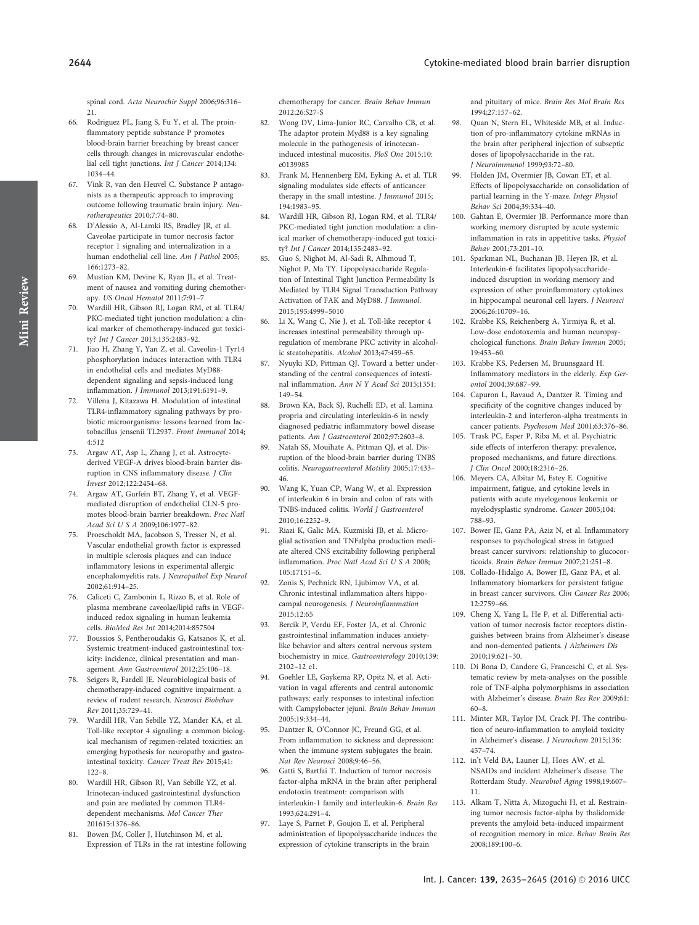#### 2644 Cytokine-mediated blood brain barrier disruption

spinal cord. Acta Neurochir Suppl 2006;96:316– 21.

- 66. Rodriguez PL, Jiang S, Fu Y, et al. The proinflammatory peptide substance P promotes blood-brain barrier breaching by breast cancer cells through changes in microvascular endothelial cell tight junctions. Int J Cancer 2014;134: 1034–44.
- 67. Vink R, van den Heuvel C. Substance P antagonists as a therapeutic approach to improving outcome following traumatic brain injury. Neurotherapeutics 2010;7:74–80.
- 68. D'Alessio A, Al-Lamki RS, Bradley JR, et al. Caveolae participate in tumor necrosis factor receptor 1 signaling and internalization in a human endothelial cell line. Am J Pathol 2005; 166:1273–82.
- Mustian KM, Devine K, Ryan JL, et al. Treatment of nausea and vomiting during chemotherapy. US Oncol Hematol 2011;7:91–7.
- Wardill HR, Gibson RJ, Logan RM, et al. TLR4/ PKC-mediated tight junction modulation: a clinical marker of chemotherapy-induced gut toxicity? Int J Cancer 2013;135:2483–92.
- 71. Jiao H, Zhang Y, Yan Z, et al. Caveolin-1 Tyr14 phosphorylation induces interaction with TLR4 in endothelial cells and mediates MyD88 dependent signaling and sepsis-induced lung inflammation. J Immunol 2013;191:6191–9.
- Villena J, Kitazawa H. Modulation of intestinal TLR4-inflammatory signaling pathways by probiotic microorganisms: lessons learned from lactobacillus jensenii TL2937. Front Immunol 2014; 4:512
- 73. Argaw AT, Asp L, Zhang J, et al. Astrocytederived VEGF-A drives blood-brain barrier disruption in CNS inflammatory disease. J Clin Invest 2012;122:2454–68.
- 74. Argaw AT, Gurfein BT, Zhang Y, et al. VEGFmediated disruption of endothelial CLN-5 promotes blood-brain barrier breakdown. Proc Natl Acad Sci U S A 2009;106:1977–82.
- 75. Proescholdt MA, Jacobson S, Tresser N, et al. Vascular endothelial growth factor is expressed in multiple sclerosis plaques and can induce inflammatory lesions in experimental allergic encephalomyelitis rats. J Neuropathol Exp Neurol 2002;61:914–25.
- 76. Caliceti C, Zambonin L, Rizzo B, et al. Role of plasma membrane caveolae/lipid rafts in VEGFinduced redox signaling in human leukemia cells. BioMed Res Int 2014;2014:857504
- 77. Boussios S, Pentheroudakis G, Katsanos K, et al. Systemic treatment-induced gastrointestinal toxicity: incidence, clinical presentation and management. Ann Gastroenterol 2012;25:106–18.
- 78. Seigers R, Fardell JE. Neurobiological basis of chemotherapy-induced cognitive impairment: a review of rodent research. Neurosci Biobehav Rev 2011;35:729–41.
- 79. Wardill HR, Van Sebille YZ, Mander KA, et al. Toll-like receptor 4 signaling: a common biological mechanism of regimen-related toxicities: an emerging hypothesis for neuropathy and gastrointestinal toxicity. Cancer Treat Rev 2015;41: 122–8.
- 80. Wardill HR, Gibson RJ, Van Sebille YZ, et al. Irinotecan-induced gastrointestinal dysfunction and pain are mediated by common TLR4 dependent mechanisms. Mol Cancer Ther 201615:1376–86.
- 81. Bowen JM, Coller J, Hutchinson M, et al. Expression of TLRs in the rat intestine following

chemotherapy for cancer. Brain Behav Immun 2012;26:S27-S

- 82. Wong DV, Lima-Junior RC, Carvalho CB, et al. The adaptor protein Myd88 is a key signaling molecule in the pathogenesis of irinotecaninduced intestinal mucositis. PloS One 2015;10: e0139985
- 83. Frank M, Hennenberg EM, Eyking A, et al. TLR signaling modulates side effects of anticancer therapy in the small intestine. J Immunol 2015; 194:1983–95.
- 84. Wardill HR, Gibson RJ, Logan RM, et al. TLR4/ PKC-mediated tight junction modulation: a clinical marker of chemotherapy-induced gut toxicity? Int J Cancer 2014;135:2483–92.
- 85. Guo S, Nighot M, Al-Sadi R, Alhmoud T, Nighot P, Ma TY. Lipopolysaccharide Regulation of Intestinal Tight Junction Permeability Is Mediated by TLR4 Signal Transduction Pathway Activation of FAK and MyD88. J Immunol. 2015;195:4999–5010
- 86. Li X, Wang C, Nie J, et al. Toll-like receptor 4 increases intestinal permeability through upregulation of membrane PKC activity in alcoholic steatohepatitis. Alcohol 2013;47:459–65.
- 87. Nyuyki KD, Pittman QJ. Toward a better understanding of the central consequences of intestinal inflammation. Ann N Y Acad Sci 2015;1351: 149–54.
- 88. Brown KA, Back SJ, Ruchelli ED, et al. Lamina propria and circulating interleukin-6 in newly diagnosed pediatric inflammatory bowel disease patients. Am J Gastroenterol 2002;97:2603-8.
- Natah SS, Mouihate A, Pittman QJ, et al. Disruption of the blood-brain barrier during TNBS colitis. Neurogastroenterol Motility 2005;17:433– 46.
- 90. Wang K, Yuan CP, Wang W, et al. Expression of interleukin 6 in brain and colon of rats with TNBS-induced colitis. World J Gastroenterol 2010;16:2252–9.
- 91. Riazi K, Galic MA, Kuzmiski JB, et al. Microglial activation and TNFalpha production mediate altered CNS excitability following peripheral inflammation. Proc Natl Acad Sci U S A 2008; 105:17151–6.
- 92. Zonis S, Pechnick RN, Ljubimov VA, et al. Chronic intestinal inflammation alters hippocampal neurogenesis. J Neuroinflammation 2015;12:65
- 93. Bercik P, Verdu EF, Foster JA, et al. Chronic gastrointestinal inflammation induces anxietylike behavior and alters central nervous system biochemistry in mice. Gastroenterology 2010;139: 2102–12 e1.
- 94. Goehler LE, Gaykema RP, Opitz N, et al. Activation in vagal afferents and central autonomic pathways: early responses to intestinal infection with Campylobacter jejuni. Brain Behav Immun 2005;19:334–44.
- 95. Dantzer R, O'Connor JC, Freund GG, et al. From inflammation to sickness and depression: when the immune system subjugates the brain. Nat Rev Neurosci 2008;9:46–56.
- Gatti S, Bartfai T. Induction of tumor necrosis factor-alpha mRNA in the brain after peripheral endotoxin treatment: comparison with interleukin-1 family and interleukin-6. Brain Res 1993;624:291–4.
- 97. Laye S, Parnet P, Goujon E, et al. Peripheral administration of lipopolysaccharide induces the expression of cytokine transcripts in the brain

and pituitary of mice. Brain Res Mol Brain Res 1994;27:157–62.

- 98. Quan N, Stern EL, Whiteside MB, et al. Induction of pro-inflammatory cytokine mRNAs in the brain after peripheral injection of subseptic doses of lipopolysaccharide in the rat. J Neuroimmunol 1999;93:72–80.
- 99. Holden JM, Overmier JB, Cowan ET, et al. Effects of lipopolysaccharide on consolidation of partial learning in the Y-maze. Integr Physiol Behav Sci 2004;39:334–40.
- 100. Gahtan E, Overmier JB. Performance more than working memory disrupted by acute systemic inflammation in rats in appetitive tasks. Physiol Behav 2001;73:201–10.
- 101. Sparkman NL, Buchanan JB, Heyen JR, et al. Interleukin-6 facilitates lipopolysaccharideinduced disruption in working memory and expression of other proinflammatory cytokines in hippocampal neuronal cell layers. J Neurosci 2006;26:10709–16.
- 102. Krabbe KS, Reichenberg A, Yirmiya R, et al. Low-dose endotoxemia and human neuropsychological functions. Brain Behav Immun 2005; 19:453–60.
- 103. Krabbe KS, Pedersen M, Bruunsgaard H. Inflammatory mediators in the elderly. Exp Gerontol 2004;39:687–99.
- 104. Capuron L, Ravaud A, Dantzer R. Timing and specificity of the cognitive changes induced by interleukin-2 and interferon-alpha treatments in cancer patients. Psychosom Med 2001;63:376–86.
- 105. Trask PC, Esper P, Riba M, et al. Psychiatric side effects of interferon therapy: prevalence, proposed mechanisms, and future directions. J Clin Oncol 2000;18:2316–26.
- 106. Meyers CA, Albitar M, Estey E. Cognitive impairment, fatigue, and cytokine levels in patients with acute myelogenous leukemia or myelodysplastic syndrome. Cancer 2005;104: 788–93.
- 107. Bower JE, Ganz PA, Aziz N, et al. Inflammatory responses to psychological stress in fatigued breast cancer survivors: relationship to glucocorticoids. Brain Behav Immun 2007;21:251–8.
- 108. Collado-Hidalgo A, Bower JE, Ganz PA, et al. Inflammatory biomarkers for persistent fatigue in breast cancer survivors. Clin Cancer Res 2006; 12:2759–66.
- 109. Cheng X, Yang L, He P, et al. Differential activation of tumor necrosis factor receptors distinguishes between brains from Alzheimer's disease and non-demented patients. J Alzheimers Dis 2010;19:621–30.
- 110. Di Bona D, Candore G, Franceschi C, et al. Systematic review by meta-analyses on the possible role of TNF-alpha polymorphisms in association with Alzheimer's disease. Brain Res Rev 2009;61: 60–8.
- 111. Minter MR, Taylor JM, Crack PJ. The contribution of neuro-inflammation to amyloid toxicity in Alzheimer's disease. J Neurochem 2015;136: 457–74.
- 112. in't Veld BA, Launer LJ, Hoes AW, et al. NSAIDs and incident Alzheimer's disease. The Rotterdam Study. Neurobiol Aging 1998;19:607– 11.
- 113. Alkam T, Nitta A, Mizoguchi H, et al. Restraining tumor necrosis factor-alpha by thalidomide prevents the amyloid beta-induced impairment of recognition memory in mice. Behav Brain Res 2008;189:100–6.